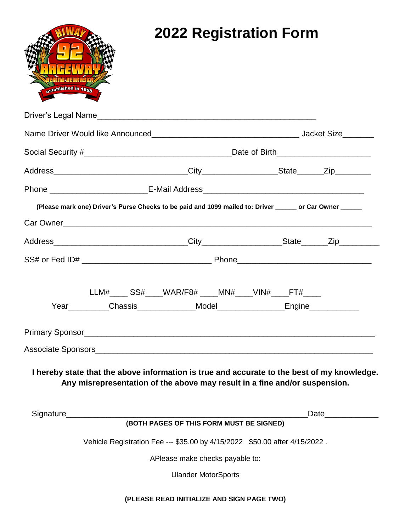

## **2022 Registration Form**

|           | (Please mark one) Driver's Purse Checks to be paid and 1099 mailed to: Driver ______ or Car Owner ______                                                                  |                                            |  |  |  |      |
|-----------|---------------------------------------------------------------------------------------------------------------------------------------------------------------------------|--------------------------------------------|--|--|--|------|
|           |                                                                                                                                                                           |                                            |  |  |  |      |
|           |                                                                                                                                                                           |                                            |  |  |  |      |
|           |                                                                                                                                                                           |                                            |  |  |  |      |
|           |                                                                                                                                                                           |                                            |  |  |  |      |
|           | $LLM#$ $SS#$ $WAR/F8#$ $MN#$ $VIN#$ $FT#$                                                                                                                                 |                                            |  |  |  |      |
|           |                                                                                                                                                                           |                                            |  |  |  |      |
|           |                                                                                                                                                                           |                                            |  |  |  |      |
|           |                                                                                                                                                                           |                                            |  |  |  |      |
|           | I hereby state that the above information is true and accurate to the best of my knowledge.<br>Any misrepresentation of the above may result in a fine and/or suspension. |                                            |  |  |  |      |
| Signature |                                                                                                                                                                           |                                            |  |  |  | Date |
|           |                                                                                                                                                                           | (BOTH PAGES OF THIS FORM MUST BE SIGNED)   |  |  |  |      |
|           | Vehicle Registration Fee --- \$35.00 by 4/15/2022 \$50.00 after 4/15/2022.                                                                                                |                                            |  |  |  |      |
|           |                                                                                                                                                                           | APlease make checks payable to:            |  |  |  |      |
|           |                                                                                                                                                                           | <b>Ulander MotorSports</b>                 |  |  |  |      |
|           |                                                                                                                                                                           | (PLEASE READ INITIALIZE AND SIGN PAGE TWO) |  |  |  |      |